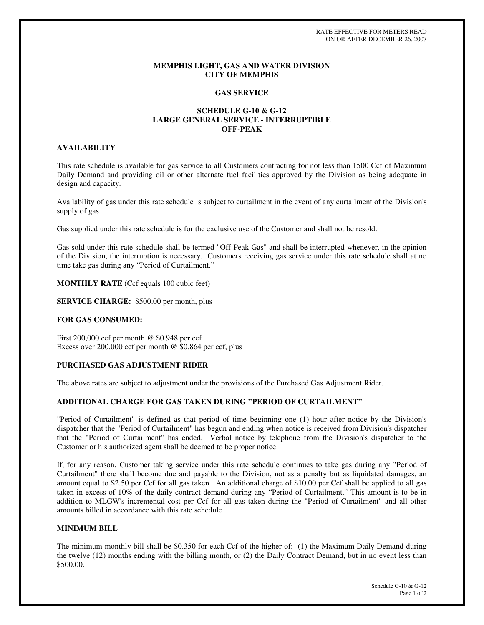RATE EFFECTIVE FOR METERS READ ON OR AFTER DECEMBER 26, 2007

#### **MEMPHIS LIGHT, GAS AND WATER DIVISION CITY OF MEMPHIS**

#### **GAS SERVICE**

# **SCHEDULE G-10 & G-12 LARGE GENERAL SERVICE - INTERRUPTIBLE OFF-PEAK**

# **AVAILABILITY**

This rate schedule is available for gas service to all Customers contracting for not less than 1500 Ccf of Maximum Daily Demand and providing oil or other alternate fuel facilities approved by the Division as being adequate in design and capacity.

Availability of gas under this rate schedule is subject to curtailment in the event of any curtailment of the Division's supply of gas.

Gas supplied under this rate schedule is for the exclusive use of the Customer and shall not be resold.

Gas sold under this rate schedule shall be termed "Off-Peak Gas" and shall be interrupted whenever, in the opinion of the Division, the interruption is necessary. Customers receiving gas service under this rate schedule shall at no time take gas during any "Period of Curtailment."

**MONTHLY RATE** (Ccf equals 100 cubic feet)

**SERVICE CHARGE:** \$500.00 per month, plus

### **FOR GAS CONSUMED:**

First 200,000 ccf per month @ \$0.948 per ccf Excess over 200,000 ccf per month @ \$0.864 per ccf, plus

# **PURCHASED GAS ADJUSTMENT RIDER**

The above rates are subject to adjustment under the provisions of the Purchased Gas Adjustment Rider.

## **ADDITIONAL CHARGE FOR GAS TAKEN DURING "PERIOD OF CURTAILMENT"**

"Period of Curtailment" is defined as that period of time beginning one (1) hour after notice by the Division's dispatcher that the "Period of Curtailment" has begun and ending when notice is received from Division's dispatcher that the "Period of Curtailment" has ended. Verbal notice by telephone from the Division's dispatcher to the Customer or his authorized agent shall be deemed to be proper notice.

If, for any reason, Customer taking service under this rate schedule continues to take gas during any "Period of Curtailment" there shall become due and payable to the Division, not as a penalty but as liquidated damages, an amount equal to \$2.50 per Ccf for all gas taken. An additional charge of \$10.00 per Ccf shall be applied to all gas taken in excess of 10% of the daily contract demand during any "Period of Curtailment." This amount is to be in addition to MLGW's incremental cost per Ccf for all gas taken during the "Period of Curtailment" and all other amounts billed in accordance with this rate schedule.

## **MINIMUM BILL**

The minimum monthly bill shall be \$0.350 for each Ccf of the higher of: (1) the Maximum Daily Demand during the twelve (12) months ending with the billing month, or (2) the Daily Contract Demand, but in no event less than \$500.00.